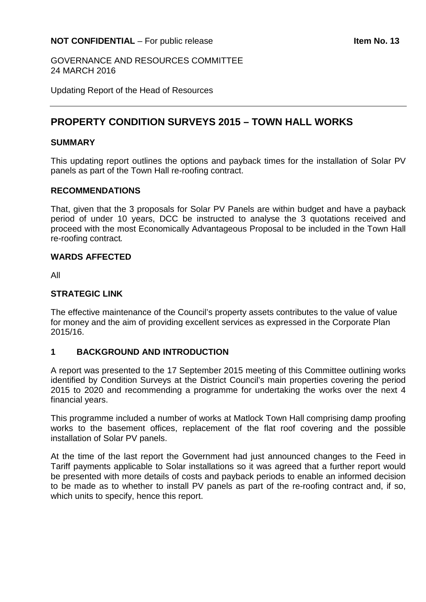GOVERNANCE AND RESOURCES COMMITTEE 24 MARCH 2016

Updating Report of the Head of Resources

## **PROPERTY CONDITION SURVEYS 2015 – TOWN HALL WORKS**

#### **SUMMARY**

This updating report outlines the options and payback times for the installation of Solar PV panels as part of the Town Hall re-roofing contract.

#### **RECOMMENDATIONS**

That, given that the 3 proposals for Solar PV Panels are within budget and have a payback period of under 10 years, DCC be instructed to analyse the 3 quotations received and proceed with the most Economically Advantageous Proposal to be included in the Town Hall re-roofing contract*.*

#### **WARDS AFFECTED**

All

## **STRATEGIC LINK**

The effective maintenance of the Council's property assets contributes to the value of value for money and the aim of providing excellent services as expressed in the Corporate Plan 2015/16.

## **1 BACKGROUND AND INTRODUCTION**

A report was presented to the 17 September 2015 meeting of this Committee outlining works identified by Condition Surveys at the District Council's main properties covering the period 2015 to 2020 and recommending a programme for undertaking the works over the next 4 financial years.

This programme included a number of works at Matlock Town Hall comprising damp proofing works to the basement offices, replacement of the flat roof covering and the possible installation of Solar PV panels.

At the time of the last report the Government had just announced changes to the Feed in Tariff payments applicable to Solar installations so it was agreed that a further report would be presented with more details of costs and payback periods to enable an informed decision to be made as to whether to install PV panels as part of the re-roofing contract and, if so, which units to specify, hence this report.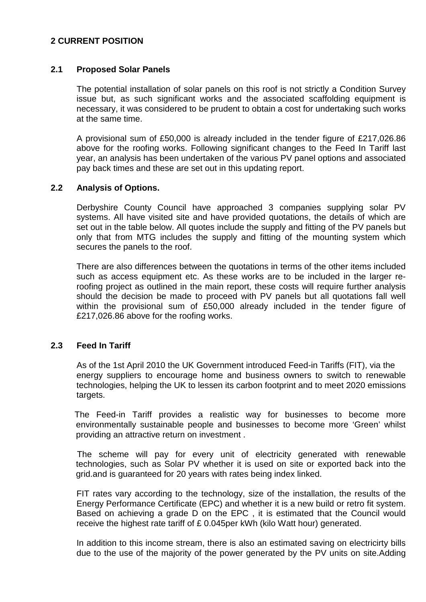## **2 CURRENT POSITION**

## **2.1 Proposed Solar Panels**

The potential installation of solar panels on this roof is not strictly a Condition Survey issue but, as such significant works and the associated scaffolding equipment is necessary, it was considered to be prudent to obtain a cost for undertaking such works at the same time.

A provisional sum of £50,000 is already included in the tender figure of £217,026.86 above for the roofing works. Following significant changes to the Feed In Tariff last year, an analysis has been undertaken of the various PV panel options and associated pay back times and these are set out in this updating report.

#### **2.2 Analysis of Options.**

Derbyshire County Council have approached 3 companies supplying solar PV systems. All have visited site and have provided quotations, the details of which are set out in the table below. All quotes include the supply and fitting of the PV panels but only that from MTG includes the supply and fitting of the mounting system which secures the panels to the roof.

There are also differences between the quotations in terms of the other items included such as access equipment etc. As these works are to be included in the larger reroofing project as outlined in the main report, these costs will require further analysis should the decision be made to proceed with PV panels but all quotations fall well within the provisional sum of £50,000 already included in the tender figure of £217,026.86 above for the roofing works.

## **2.3 Feed In Tariff**

As of the 1st April 2010 the UK Government introduced Feed-in Tariffs (FIT), via the energy suppliers to encourage home and business owners to switch to renewable technologies, helping the UK to lessen its carbon footprint and to meet 2020 emissions targets.

 The Feed-in Tariff provides a realistic way for businesses to become more environmentally sustainable people and businesses to become more 'Green' whilst providing an attractive return on investment .

 The scheme will pay for every unit of electricity generated with renewable technologies, such as Solar PV whether it is used on site or exported back into the grid.and is guaranteed for 20 years with rates being index linked.

FIT rates vary according to the technology, size of the installation, the results of the Energy Performance Certificate (EPC) and whether it is a new build or retro fit system. Based on achieving a grade D on the EPC , it is estimated that the Council would receive the highest rate tariff of £ 0.045per kWh (kilo Watt hour) generated.

In addition to this income stream, there is also an estimated saving on electricirty bills due to the use of the majority of the power generated by the PV units on site.Adding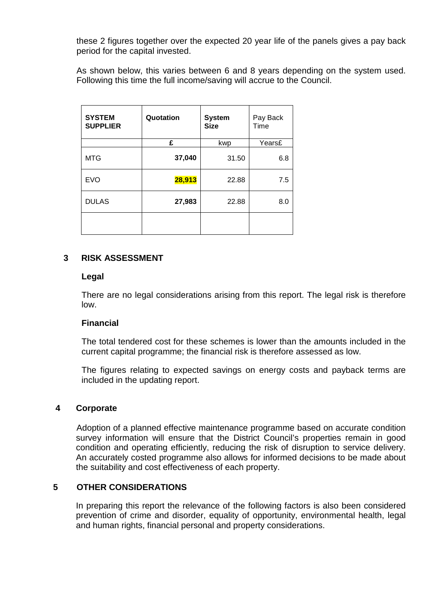these 2 figures together over the expected 20 year life of the panels gives a pay back period for the capital invested.

As shown below, this varies between 6 and 8 years depending on the system used. Following this time the full income/saving will accrue to the Council.

| <b>SYSTEM</b><br><b>SUPPLIER</b> | Quotation | <b>System</b><br><b>Size</b> | Pay Back<br>Time |
|----------------------------------|-----------|------------------------------|------------------|
|                                  | £         | kwp                          | Years£           |
| <b>MTG</b>                       | 37,040    | 31.50                        | 6.8              |
| <b>EVO</b>                       | 28,913    | 22.88                        | 7.5              |
| <b>DULAS</b>                     | 27,983    | 22.88                        | 8.0              |
|                                  |           |                              |                  |

## **3 RISK ASSESSMENT**

#### **Legal**

There are no legal considerations arising from this report. The legal risk is therefore low.

## **Financial**

The total tendered cost for these schemes is lower than the amounts included in the current capital programme; the financial risk is therefore assessed as low.

The figures relating to expected savings on energy costs and payback terms are included in the updating report.

## **4 Corporate**

Adoption of a planned effective maintenance programme based on accurate condition survey information will ensure that the District Council's properties remain in good condition and operating efficiently, reducing the risk of disruption to service delivery. An accurately costed programme also allows for informed decisions to be made about the suitability and cost effectiveness of each property.

## **5 OTHER CONSIDERATIONS**

In preparing this report the relevance of the following factors is also been considered prevention of crime and disorder, equality of opportunity, environmental health, legal and human rights, financial personal and property considerations.